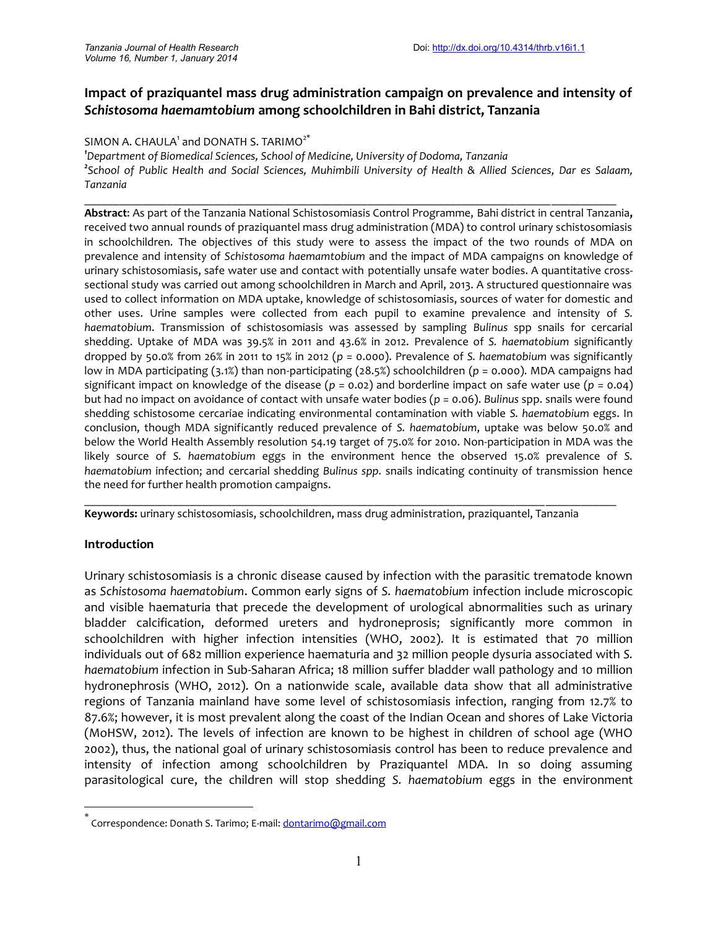# **Impact of praziquantel mass drug administration campaign on prevalence and intensity of** *Schistosoma haemamtobium* **among schoolchildren in Bahi district, Tanzania**

#### SIMON A. CHAULA<sup>1</sup> and DONATH S. TARIMO<sup>2\*</sup>

*<sup>1</sup>Department of Biomedical Sciences, School of Medicine, University of Dodoma, Tanzania <sup>2</sup>School of Public Health and Social Sciences, Muhimbili University of Health & Allied Sciences, Dar es Salaam, Tanzania*

\_\_\_\_\_\_\_\_\_\_\_\_\_\_\_\_\_\_\_\_\_\_\_\_\_\_\_\_\_\_\_\_\_\_\_\_\_\_\_\_\_\_\_\_\_\_\_\_\_\_\_\_\_\_\_\_\_\_\_\_\_\_\_\_\_\_\_\_\_\_\_\_\_\_\_\_\_\_\_\_\_\_\_\_\_\_\_\_\_\_

**Abstract**: As part of the Tanzania National Schistosomiasis Control Programme, Bahi district in central Tanzania**,** received two annual rounds of praziquantel mass drug administration (MDA) to control urinary schistosomiasis in schoolchildren*.* The objectives of this study were to assess the impact of the two rounds of MDA on prevalence and intensity of *Schistosoma haemamtobium* and the impact of MDA campaigns on knowledge of urinary schistosomiasis, safe water use and contact with potentially unsafe water bodies. A quantitative cross sectional study was carried out among schoolchildren in March and April, 2013. A structured questionnaire was used to collect information on MDA uptake, knowledge of schistosomiasis, sources of water for domestic and other uses. Urine samples were collected from each pupil to examine prevalence and intensity of *S. haematobium*. Transmission of schistosomiasis was assessed by sampling *Bulinus* spp snails for cercarial shedding. Uptake of MDA was 39.5% in 2011 and 43.6% in 2012. Prevalence of *S. haematobium* significantly dropped by 50.0% from 26% in 2011 to 15% in 2012 (*p* = 0.000). Prevalence of *S. haematobium* was significantly low in MDA participating (3.1%) than non-participating (28.5%) schoolchildren (*p* = 0.000). MDA campaigns had significant impact on knowledge of the disease ( $p = 0.02$ ) and borderline impact on safe water use ( $p = 0.04$ ) but had no impact on avoidance of contact with unsafe water bodies (*p* = 0.06). *Bulinus* spp. snails were found shedding schistosome cercariae indicating environmental contamination with viable *S. haematobium* eggs. In conclusion, though MDA significantly reduced prevalence of *S. haematobium*, uptake was below 50.0% and below the World Health Assembly resolution 54.19 target of 75.0% for 2010. Non-participation in MDA was the likely source of *S. haematobium* eggs in the environment hence the observed 15.0% prevalence of *S. haematobium* infection; and cercarial shedding *Bulinus spp.* snails indicating continuity of transmission hence the need for further health promotion campaigns.

**Keywords:** urinary schistosomiasis, schoolchildren, mass drug administration, praziquantel, Tanzania

\_\_\_\_\_\_\_\_\_\_\_\_\_\_\_\_\_\_\_\_\_\_\_\_\_\_\_\_\_\_\_\_\_\_\_\_\_\_\_\_\_\_\_\_\_\_\_\_\_\_\_\_\_\_\_\_\_\_\_\_\_\_\_\_\_\_\_\_\_\_\_\_\_\_\_\_\_\_\_\_\_\_\_\_\_\_\_\_\_\_

### **Introduction**

Urinary schistosomiasis is a chronic disease caused by infection with the parasitic trematode known as *Schistosoma haematobium*. Common early signs of *S. haematobium* infection include microscopic and visible haematuria that precede the development of urological abnormalities such as urinary bladder calcification, deformed ureters and hydroneprosis; significantly more common in schoolchildren with higher infection intensities (WHO, 2002). It is estimated that 70 million individuals out of 682 million experience haematuria and 32 million people dysuria associated with *S. haematobium* infection in Sub-Saharan Africa; 18 million suffer bladder wall pathology and 10 million hydronephrosis (WHO, 2012). On a nationwide scale, available data show that all administrative regions of Tanzania mainland have some level of schistosomiasis infection, ranging from 12.7% to 87.6%; however, it is most prevalent along the coast of the Indian Ocean and shores of Lake Victoria (MoHSW, 2012). The levels of infection are known to be highest in children of school age (WHO 2002), thus, the national goal of urinary schistosomiasis control has been to reduce prevalence and intensity of infection among schoolchildren by Praziquantel MDA. In so doing assuming parasitological cure, the children will stop shedding *S. haematobium* eggs in the environment

Correspondence: Donath S. Tarimo; E-mail: dontarimo@gmail.com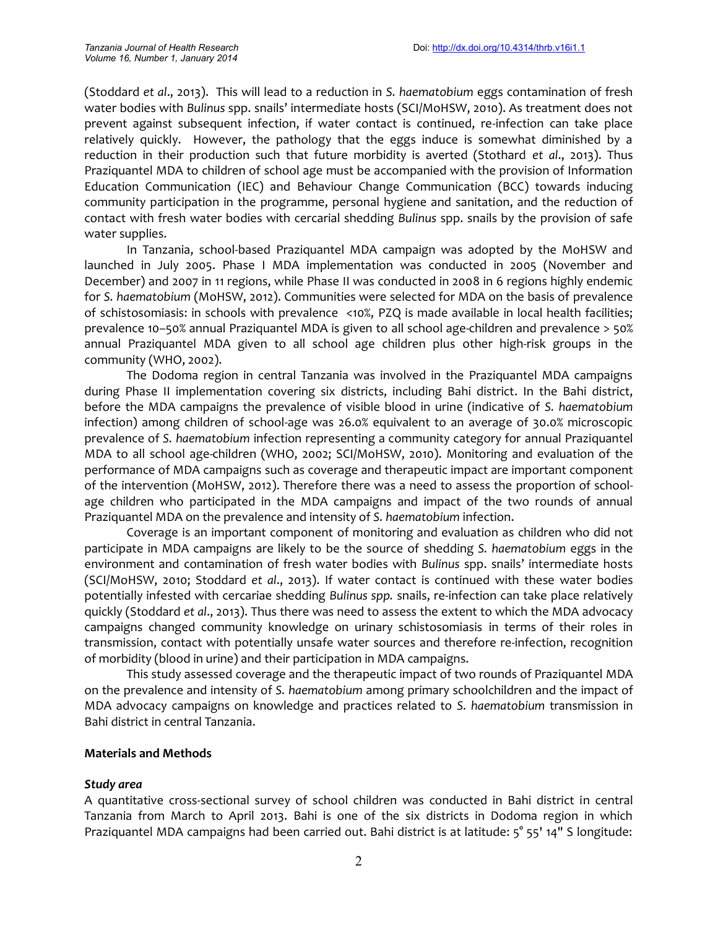(Stoddard *et al*., 2013). This will lead to a reduction in *S. haematobium* eggs contamination of fresh water bodies with *Bulinus* spp. snails' intermediate hosts (SCI/MoHSW, 2010). As treatment does not prevent against subsequent infection, if water contact is continued, re-infection can take place relatively quickly. However, the pathology that the eggs induce is somewhat diminished by a reduction in their production such that future morbidity is averted (Stothard *et al*., 2013). Thus Praziquantel MDA to children of school age must be accompanied with the provision of Information Education Communication (IEC) and Behaviour Change Communication (BCC) towards inducing community participation in the programme, personal hygiene and sanitation, and the reduction of contact with fresh water bodies with cercarial shedding *Bulinus* spp. snails by the provision of safe water supplies.

In Tanzania, school-based Praziquantel MDA campaign was adopted by the MoHSW and launched in July 2005. Phase I MDA implementation was conducted in 2005 (November and December) and 2007 in 11 regions, while Phase II was conducted in 2008 in 6 regions highly endemic for *S. haematobium* (MoHSW, 2012). Communities were selected for MDA on the basis of prevalence of schistosomiasis: in schools with prevalence <10%, PZQ is made available in local health facilities; prevalence 10–50% annual Praziquantel MDA is given to all school age-children and prevalence > 50% annual Praziquantel MDA given to all school age children plus other high-risk groups in the community (WHO, 2002).

The Dodoma region in central Tanzania was involved in the Praziquantel MDA campaigns during Phase II implementation covering six districts, including Bahi district. In the Bahi district, before the MDA campaigns the prevalence of visible blood in urine (indicative of *S. haematobium* infection) among children of school-age was 26.0% equivalent to an average of 30.0% microscopic prevalence of *S. haematobium* infection representing a community category for annual Praziquantel MDA to all school age-children (WHO, 2002; SCI/MoHSW, 2010). Monitoring and evaluation of the performance of MDA campaigns such as coverage and therapeutic impact are important component of the intervention (MoHSW, 2012). Therefore there was a need to assess the proportion of school age children who participated in the MDA campaigns and impact of the two rounds of annual Praziquantel MDA on the prevalence and intensity of *S. haematobium* infection.

Coverage is an important component of monitoring and evaluation as children who did not participate in MDA campaigns are likely to be the source of shedding *S. haematobium* eggs in the environment and contamination of fresh water bodies with *Bulinus* spp. snails' intermediate hosts (SCI/MoHSW, 2010; Stoddard *et al*., 2013). If water contact is continued with these water bodies potentially infested with cercariae shedding *Bulinus spp.* snails, re-infection can take place relatively quickly (Stoddard *et al*., 2013). Thus there was need to assess the extent to which the MDA advocacy campaigns changed community knowledge on urinary schistosomiasis in terms of their roles in transmission, contact with potentially unsafe water sources and therefore re-infection, recognition of morbidity (blood in urine) and their participation in MDA campaigns.

This study assessed coverage and the therapeutic impact of two rounds of Praziquantel MDA on the prevalence and intensity of *S. haematobium* among primary schoolchildren and the impact of MDA advocacy campaigns on knowledge and practices related to *S. haematobium* transmission in Bahi district in central Tanzania.

### **Materials and Methods**

#### *Study area*

A quantitative cross-sectional survey of school children was conducted in Bahi district in central Tanzania from March to April 2013. Bahi is one of the six districts in Dodoma region in which Praziquantel MDA campaigns had been carried out. Bahi district is at latitude: 5° 55' 14" S longitude: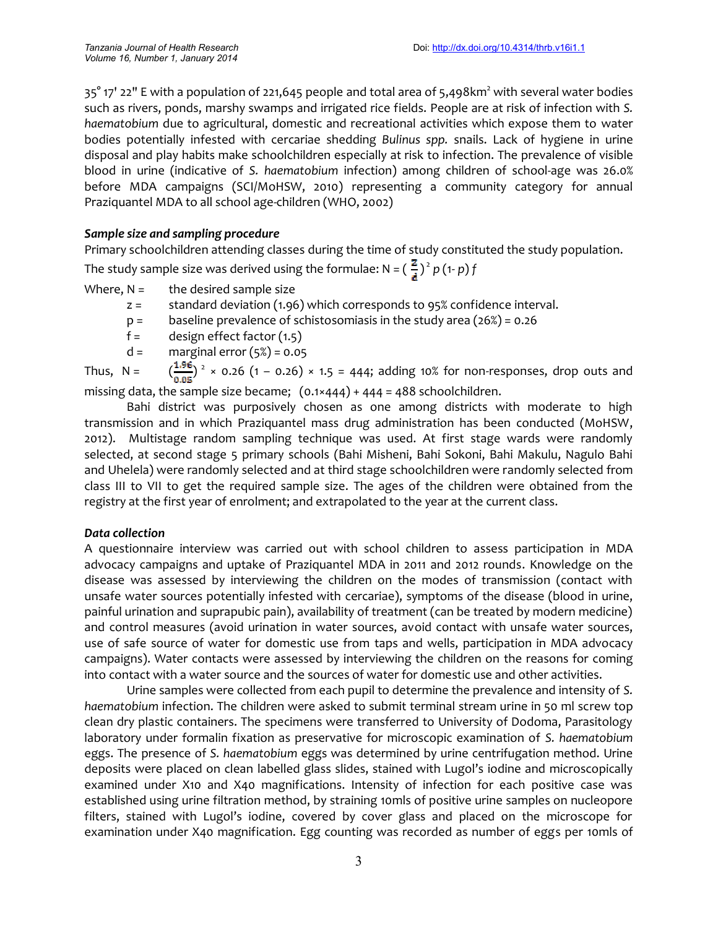$35^{\circ}$  17' 22" E with a population of 221,645 people and total area of 5,498km<sup>2</sup> with several water bodies such as rivers, ponds, marshy swamps and irrigated rice fields. People are at risk of infection with *S. haematobium* due to agricultural, domestic and recreational activities which expose them to water bodies potentially infested with cercariae shedding *Bulinus spp.* snails. Lack of hygiene in urine disposal and play habits make schoolchildren especially at risk to infection. The prevalence of visible blood in urine (indicative of *S. haematobium* infection) among children of school-age was 26.0% before MDA campaigns (SCI/MoHSW, 2010) representing a community category for annual Praziquantel MDA to all school age-children (WHO, 2002)

## *Sample size and sampling procedure*

Primary schoolchildren attending classes during the time of study constituted the study population. The study sample size was derived using the formulae: N =  $(\frac{z}{r})^2 p$  (1- *p*) *f* 

Where,  $N =$  the desired sample size

- z = standard deviation (1.96) which corresponds to 95% confidence interval.
- $p =$  baseline prevalence of schistosomiasis in the study area (26%) = 0.26
- $f =$  design effect factor  $(1.5)$
- $d =$  marginal error  $(5\%) = 0.05$

Thus, N =  $\left(\frac{1.96}{2.05}\right)^2$  × 0.26 (1 – 0.26) × 1.5 = 444; adding 10% for non-responses, drop outs and missing data, the sample size became; (0.1×444) + 444 = 488 schoolchildren.

Bahi district was purposively chosen as one among districts with moderate to high transmission and in which Praziquantel mass drug administration has been conducted (MoHSW, 2012). Multistage random sampling technique was used. At first stage wards were randomly selected, at second stage 5 primary schools (Bahi Misheni, Bahi Sokoni, Bahi Makulu, Nagulo Bahi and Uhelela) were randomly selected and at third stage schoolchildren were randomly selected from class III to VII to get the required sample size. The ages of the children were obtained from the registry at the first year of enrolment; and extrapolated to the year at the current class.

### *Data collection*

A questionnaire interview was carried out with school children to assess participation in MDA advocacy campaigns and uptake of Praziquantel MDA in 2011 and 2012 rounds. Knowledge on the disease was assessed by interviewing the children on the modes of transmission (contact with unsafe water sources potentially infested with cercariae), symptoms of the disease (blood in urine, painful urination and suprapubic pain), availability of treatment (can be treated by modern medicine) and control measures (avoid urination in water sources, avoid contact with unsafe water sources, use of safe source of water for domestic use from taps and wells, participation in MDA advocacy campaigns). Water contacts were assessed by interviewing the children on the reasons for coming into contact with a water source and the sources of water for domestic use and other activities.

Urine samples were collected from each pupil to determine the prevalence and intensity of *S. haematobium* infection. The children were asked to submit terminal stream urine in 50 ml screw top clean dry plastic containers. The specimens were transferred to University of Dodoma, Parasitology laboratory under formalin fixation as preservative for microscopic examination of *S. haematobium* eggs. The presence of *S. haematobium* eggs was determined by urine centrifugation method. Urine deposits were placed on clean labelled glass slides, stained with Lugol's iodine and microscopically examined under X10 and X40 magnifications. Intensity of infection for each positive case was established using urine filtration method, by straining 10mls of positive urine samples on nucleopore filters, stained with Lugol's iodine, covered by cover glass and placed on the microscope for examination under X40 magnification. Egg counting was recorded as number of eggs per 10mls of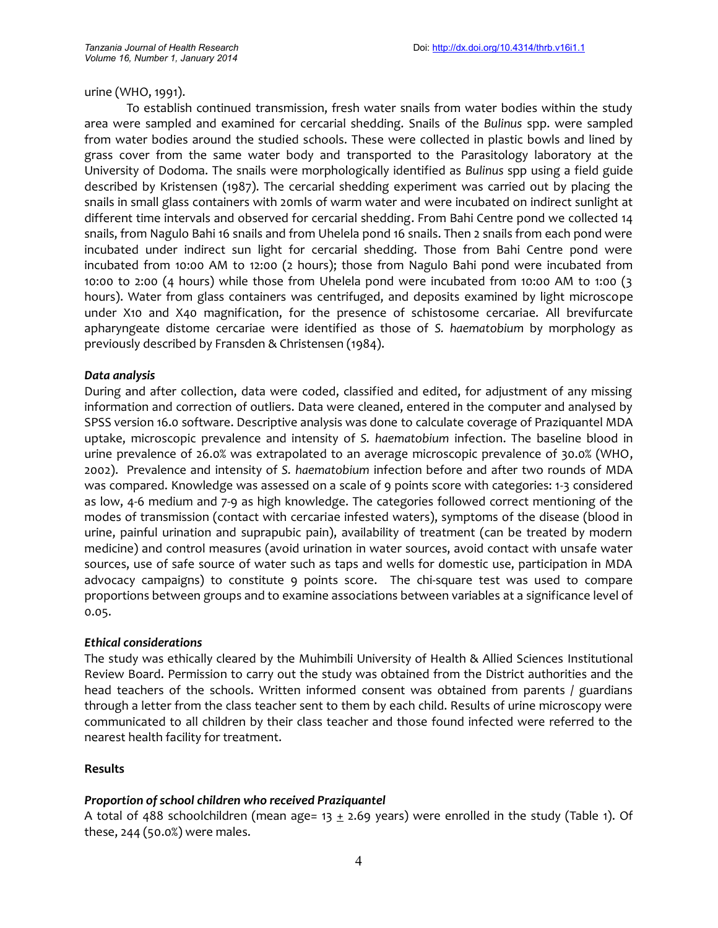urine (WHO, 1991).

To establish continued transmission, fresh water snails from water bodies within the study area were sampled and examined for cercarial shedding. Snails of the *Bulinus* spp. were sampled from water bodies around the studied schools. These were collected in plastic bowls and lined by grass cover from the same water body and transported to the Parasitology laboratory at the University of Dodoma. The snails were morphologically identified as *Bulinus* spp using a field guide described by Kristensen (1987). The cercarial shedding experiment was carried out by placing the snails in small glass containers with 20mls of warm water and were incubated on indirect sunlight at different time intervals and observed for cercarial shedding. From Bahi Centre pond we collected 14 snails, from Nagulo Bahi 16 snails and from Uhelela pond 16 snails. Then 2 snails from each pond were incubated under indirect sun light for cercarial shedding. Those from Bahi Centre pond were incubated from 10:00 AM to 12:00 (2 hours); those from Nagulo Bahi pond were incubated from 10:00 to 2:00 (4 hours) while those from Uhelela pond were incubated from 10:00 AM to 1:00 (3 hours). Water from glass containers was centrifuged, and deposits examined by light microscope under X10 and X40 magnification, for the presence of schistosome cercariae. All brevifurcate apharyngeate distome cercariae were identified as those of *S. haematobium* by morphology as previously described by Fransden & Christensen (1984).

#### *Data analysis*

During and after collection, data were coded, classified and edited, for adjustment of any missing information and correction of outliers. Data were cleaned, entered in the computer and analysed by SPSS version 16.0 software. Descriptive analysis was done to calculate coverage of Praziquantel MDA uptake, microscopic prevalence and intensity of *S. haematobium* infection. The baseline blood in urine prevalence of 26.0% was extrapolated to an average microscopic prevalence of 30.0% (WHO, 2002). Prevalence and intensity of *S. haematobium* infection before and after two rounds of MDA was compared. Knowledge was assessed on a scale of 9 points score with categories: 1-3 considered as low, 4-6 medium and 7-9 as high knowledge. The categories followed correct mentioning of the modes of transmission (contact with cercariae infested waters), symptoms of the disease (blood in urine, painful urination and suprapubic pain), availability of treatment (can be treated by modern medicine) and control measures (avoid urination in water sources, avoid contact with unsafe water sources, use of safe source of water such as taps and wells for domestic use, participation in MDA advocacy campaigns) to constitute 9 points score. The chi-square test was used to compare proportions between groups and to examine associations between variables at a significance level of 0.05.

#### *Ethical considerations*

The study was ethically cleared by the Muhimbili University of Health & Allied Sciences Institutional Review Board. Permission to carry out the study was obtained from the District authorities and the head teachers of the schools. Written informed consent was obtained from parents / guardians through a letter from the class teacher sent to them by each child. Results of urine microscopy were communicated to all children by their class teacher and those found infected were referred to the nearest health facility for treatment.

#### **Results**

### *Proportion of school children who received Praziquantel*

A total of 488 schoolchildren (mean age=  $13 \pm 2.69$  years) were enrolled in the study (Table 1). Of these, 244 (50.0%) were males.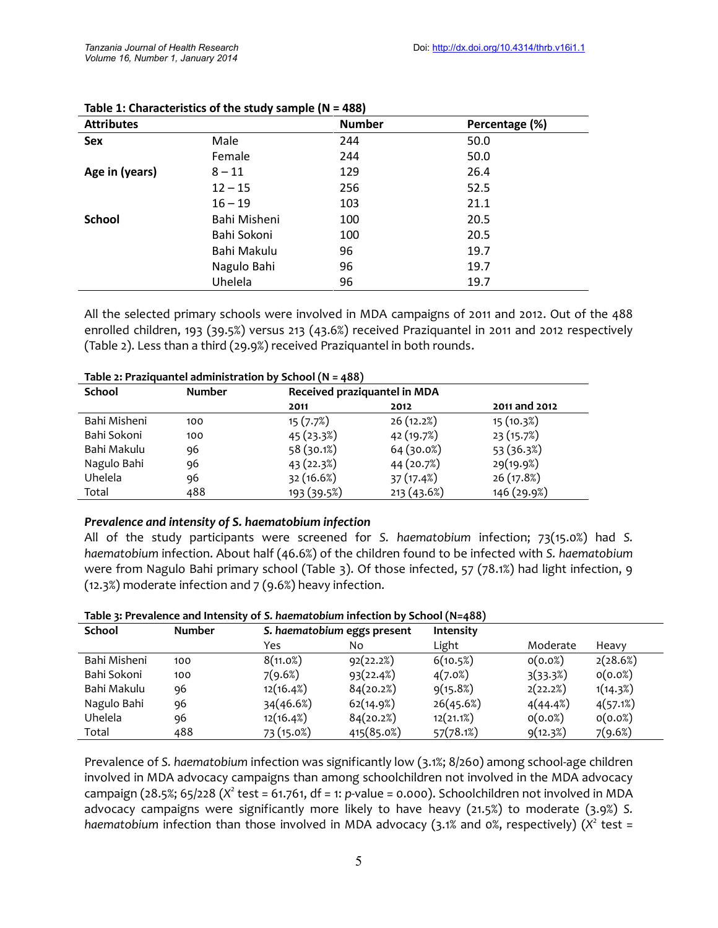| <b>Attributes</b> |              | <b>Number</b> | Percentage (%) |
|-------------------|--------------|---------------|----------------|
| <b>Sex</b>        | Male         | 244           | 50.0           |
|                   | Female       | 244           | 50.0           |
| Age in (years)    | $8 - 11$     | 129           | 26.4           |
|                   | $12 - 15$    | 256           | 52.5           |
|                   | $16 - 19$    | 103           | 21.1           |
| <b>School</b>     | Bahi Misheni | 100           | 20.5           |
|                   | Bahi Sokoni  | 100           | 20.5           |
|                   | Bahi Makulu  | 96            | 19.7           |
|                   | Nagulo Bahi  | 96            | 19.7           |
|                   | Uhelela      | 96            | 19.7           |

All the selected primary schools were involved in MDA campaigns of 2011 and 2012. Out of the 488 enrolled children, 193 (39.5%) versus 213 (43.6%) received Praziquantel in 2011 and 2012 respectively (Table 2). Less than a third (29.9%) received Praziquantel in both rounds.

| Table 2: Praziquantel administration by School (N = 488) |                              |            |               |  |  |  |
|----------------------------------------------------------|------------------------------|------------|---------------|--|--|--|
| <b>Number</b>                                            | Received praziquantel in MDA |            |               |  |  |  |
|                                                          | 2011                         | 2012       | 2011 and 2012 |  |  |  |
| 100                                                      | 15(7.7%)                     | 26(12.2%)  | 15 (10.3%)    |  |  |  |
| 100                                                      | 45 (23.3%)                   | 42 (19.7%) | 23(15.7%)     |  |  |  |
| 96                                                       | 58(30.1%)                    | 64(30.0%)  | 53 (36.3%)    |  |  |  |
| 96                                                       | 43(22.3%)                    | 44 (20.7%) | 29(19.9%)     |  |  |  |
| 96                                                       | 32 (16.6%)                   | 37(17.4%)  | 26 (17.8%)    |  |  |  |
| 488                                                      | 193 (39.5%)                  | 213(43.6%) | 146 (29.9%)   |  |  |  |
|                                                          |                              |            |               |  |  |  |

### **Table 2: Praziquantel administration by School (N = 488)**

#### *Prevalence and intensity of S. haematobium infection*

All of the study participants were screened for *S. haematobium* infection; 73(15.0%) had *S. haematobium* infection. About half (46.6%) of the children found to be infected with *S. haematobium* were from Nagulo Bahi primary school (Table 3). Of those infected, 57 (78.1%) had light infection, 9 (12.3%) moderate infection and  $7$  (9.6%) heavy infection.

| Table 3: Prevalence and Intensity of S. haematobium infection by School ( $N=488$ ) |  |  |
|-------------------------------------------------------------------------------------|--|--|
|-------------------------------------------------------------------------------------|--|--|

| <b>School</b> | <b>Number</b> | S. haematobium eggs present |            | <b>Intensity</b> |          |          |
|---------------|---------------|-----------------------------|------------|------------------|----------|----------|
|               |               | Yes                         | No         | Light            | Moderate | Heavy    |
| Bahi Misheni  | 100           | 8(11.0%)                    | 92(22.2%)  | 6(10.5%)         | O(0.0%)  | 2(28.6%) |
| Bahi Sokoni   | 100           | 7(9.6%)                     | 93(22.4%)  | 4(7.0%)          | 3(33.3%) | O(0.0%)  |
| Bahi Makulu   | 96            | 12(16.4%)                   | 84(20.2%)  | 9(15.8%)         | 2(22.2%) | 1(14.3%) |
| Nagulo Bahi   | 96            | 34(46.6%)                   | 62(14.9%)  | 26(45.6%)        | 4(44.4%) | 4(57.1%) |
| Uhelela       | 96            | 12(16.4%)                   | 84(20.2%)  | 12(21.1%)        | O(0.0%)  | O(0.0%)  |
| Total         | 488           | 73 (15.0%)                  | 415(85.0%) | 57(78.1%)        | 9(12.3%) | 7(9.6%)  |

Prevalence of *S. haematobium* infection was significantly low (3.1%; 8/260) among school-age children involved in MDA advocacy campaigns than among schoolchildren not involved in the MDA advocacy campaign (28.5%; 65/228 (*X <sup>2</sup>* test = 61.761, df = 1: *p*-value = 0.000). Schoolchildren not involved in MDA advocacy campaigns were significantly more likely to have heavy (21.5%) to moderate (3.9%) *S.* haematobium infection than those involved in MDA advocacy (3.1% and 0%, respectively) (X<sup>2</sup> test =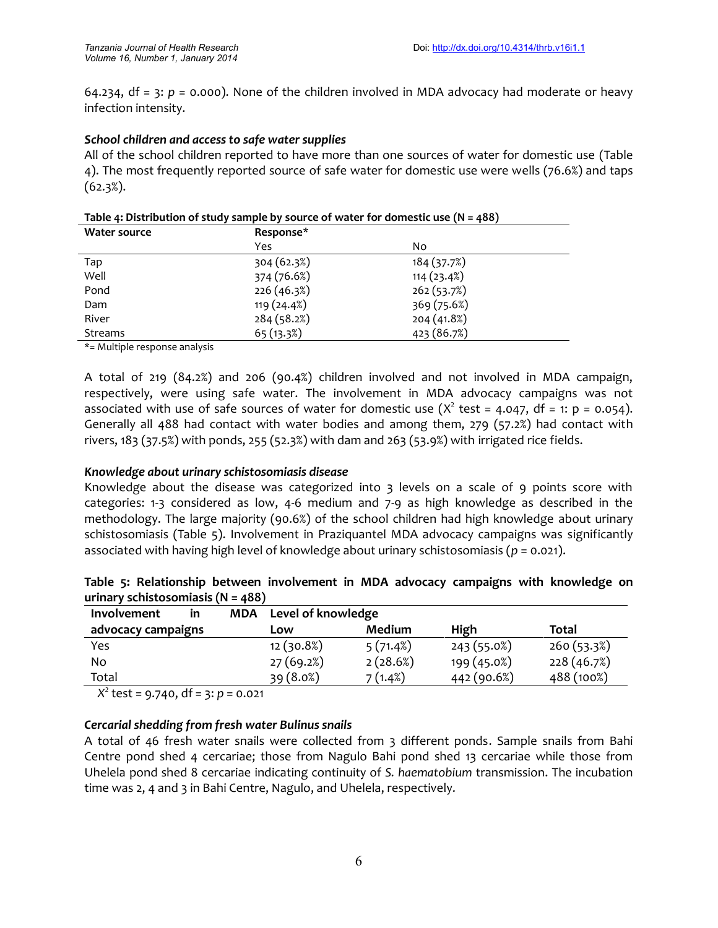64.234, df = 3:  $p = 0.000$ ). None of the children involved in MDA advocacy had moderate or heavy infection intensity.

### *School children and access to safe water supplies*

All of the school children reported to have more than one sources of water for domestic use (Table 4). The most frequently reported source of safe water for domestic use were wells (76.6%) and taps (62.3%).

|  | Table 4: Distribution of study sample by source of water for domestic use $(N = 488)$ |  |
|--|---------------------------------------------------------------------------------------|--|
|--|---------------------------------------------------------------------------------------|--|

| <b>Water source</b> | Response*   |             |  |  |
|---------------------|-------------|-------------|--|--|
|                     | Yes         | No          |  |  |
| Tap                 | 304 (62.3%) | 184(37.7%)  |  |  |
| Well                | 374 (76.6%) | 114(23.4%)  |  |  |
| Pond                | 226 (46.3%) | 262(53.7%)  |  |  |
| Dam                 | 119(24.4%)  | 369 (75.6%) |  |  |
| River               | 284 (58.2%) | 204 (41.8%) |  |  |
| Streams             | 65(13.3%)   | 423 (86.7%) |  |  |

\*= Multiple response analysis

A total of 219 (84.2%) and 206 (90.4%) children involved and not involved in MDA campaign, respectively, were using safe water. The involvement in MDA advocacy campaigns was not associated with use of safe sources of water for domestic use ( $X^2$  test = 4.047, df = 1: p = 0.054). Generally all 488 had contact with water bodies and among them, 279 (57.2%) had contact with rivers, 183 (37.5%) with ponds, 255 (52.3%) with dam and 263 (53.9%) with irrigated rice fields.

# *Knowledge about urinary schistosomiasis disease*

Knowledge about the disease was categorized into 3 levels on a scale of 9 points score with categories: 1-3 considered as low, 4-6 medium and 7-9 as high knowledge as described in the methodology. The large majority (90.6%) of the school children had high knowledge about urinary schistosomiasis (Table 5). Involvement in Praziquantel MDA advocacy campaigns was significantly associated with having high level of knowledge about urinary schistosomiasis (*p* = 0.021).

|  |                                       | Table 5: Relationship between involvement in MDA advocacy campaigns with knowledge on |  |  |  |  |
|--|---------------------------------------|---------------------------------------------------------------------------------------|--|--|--|--|
|  | urinary schistosomiasis ( $N = 488$ ) |                                                                                       |  |  |  |  |

| Involvement        | in | MDA Level of knowledge |          |             |            |  |
|--------------------|----|------------------------|----------|-------------|------------|--|
| advocacy campaigns |    | LOW                    | Medium   | High        | Total      |  |
| Yes                |    | 12(30.8%)              | 5(71.4%) | 243 (55.0%) | 260(53.3%) |  |
| No                 |    | 27(69.2%)              | 2(28.6%) | 199 (45.0%) | 228(46.7%) |  |
| Total              |    | 39(8.0%)               | 7 (1.4%) | 442 (90.6%) | 488 (100%) |  |

*X <sup>2</sup>* test = 9.740, df = 3: *p* = 0.021

# *Cercarial shedding from fresh water Bulinus snails*

A total of 46 fresh water snails were collected from 3 different ponds. Sample snails from Bahi Centre pond shed 4 cercariae; those from Nagulo Bahi pond shed 13 cercariae while those from Uhelela pond shed 8 cercariae indicating continuity of *S. haematobium* transmission. The incubation time was 2, 4 and 3 in Bahi Centre, Nagulo, and Uhelela, respectively.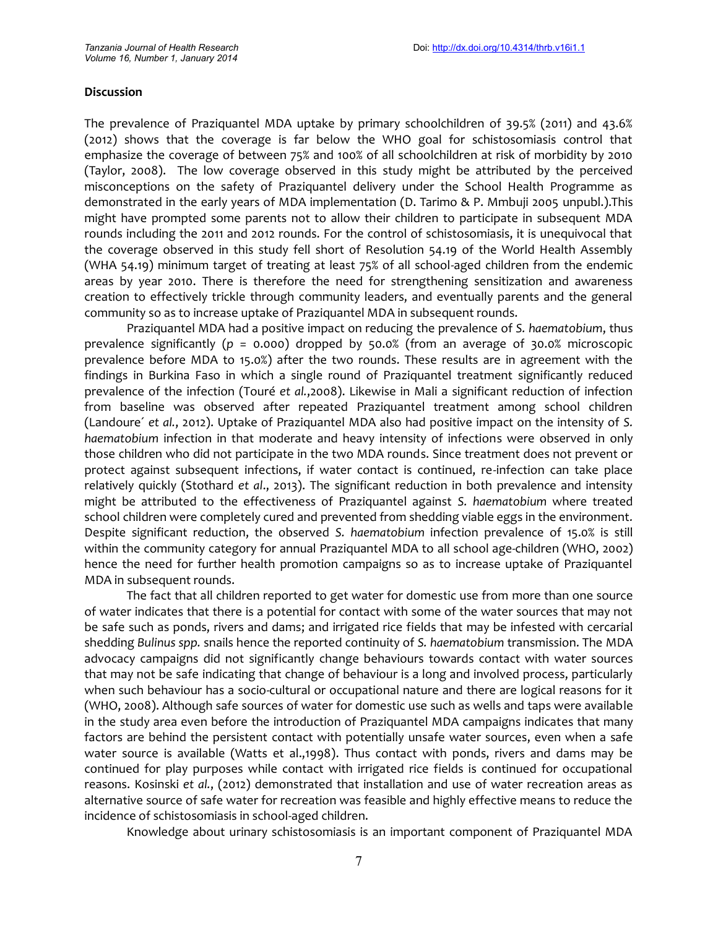#### **Discussion**

The prevalence of Praziquantel MDA uptake by primary schoolchildren of 39.5% (2011) and 43.6% (2012) shows that the coverage is far below the WHO goal for schistosomiasis control that emphasize the coverage of between 75% and 100% of all schoolchildren at risk of morbidity by 2010 (Taylor, 2008). The low coverage observed in this study might be attributed by the perceived misconceptions on the safety of Praziquantel delivery under the School Health Programme as demonstrated in the early years of MDA implementation (D. Tarimo & P. Mmbuji 2005 unpubl.).This might have prompted some parents not to allow their children to participate in subsequent MDA rounds including the 2011 and 2012 rounds. For the control of schistosomiasis, it is unequivocal that the coverage observed in this study fell short of Resolution 54.19 of the World Health Assembly (WHA 54.19) minimum target of treating at least 75% of all school-aged children from the endemic areas by year 2010. There is therefore the need for strengthening sensitization and awareness creation to effectively trickle through community leaders, and eventually parents and the general community so as to increase uptake of Praziquantel MDA in subsequent rounds.

Praziquantel MDA had a positive impact on reducing the prevalence of *S. haematobium*, thus prevalence significantly (*p* = 0.000) dropped by 50.0% (from an average of 30.0% microscopic prevalence before MDA to 15.0%) after the two rounds. These results are in agreement with the findings in Burkina Faso in which a single round of Praziquantel treatment significantly reduced prevalence of the infection (Touré *et al.*,2008). Likewise in Mali a significant reduction of infection from baseline was observed after repeated Praziquantel treatment among school children (Landoure´ *et al.*, 2012). Uptake of Praziquantel MDA also had positive impact on the intensity of *S. haematobium* infection in that moderate and heavy intensity of infections were observed in only those children who did not participate in the two MDA rounds. Since treatment does not prevent or protect against subsequent infections, if water contact is continued, re-infection can take place relatively quickly (Stothard *et al*., 2013). The significant reduction in both prevalence and intensity might be attributed to the effectiveness of Praziquantel against *S. haematobium* where treated school children were completely cured and prevented from shedding viable eggs in the environment*.* Despite significant reduction, the observed *S. haematobium* infection prevalence of 15.0% is still within the community category for annual Praziquantel MDA to all school age-children (WHO, 2002) hence the need for further health promotion campaigns so as to increase uptake of Praziquantel MDA in subsequent rounds.

The fact that all children reported to get water for domestic use from more than one source of water indicates that there is a potential for contact with some of the water sources that may not be safe such as ponds, rivers and dams; and irrigated rice fields that may be infested with cercarial shedding *Bulinus spp.* snails hence the reported continuity of *S. haematobium* transmission. The MDA advocacy campaigns did not significantly change behaviours towards contact with water sources that may not be safe indicating that change of behaviour is a long and involved process, particularly when such behaviour has a socio-cultural or occupational nature and there are logical reasons for it (WHO, 2008). Although safe sources of water for domestic use such as wells and taps were available in the study area even before the introduction of Praziquantel MDA campaigns indicates that many factors are behind the persistent contact with potentially unsafe water sources, even when a safe water source is available (Watts et al.,1998). Thus contact with ponds, rivers and dams may be continued for play purposes while contact with irrigated rice fields is continued for occupational reasons. Kosinski *et al.*, (2012) demonstrated that installation and use of water recreation areas as alternative source of safe water for recreation was feasible and highly effective means to reduce the incidence of schistosomiasis in school-aged children.

Knowledge about urinary schistosomiasis is an important component of Praziquantel MDA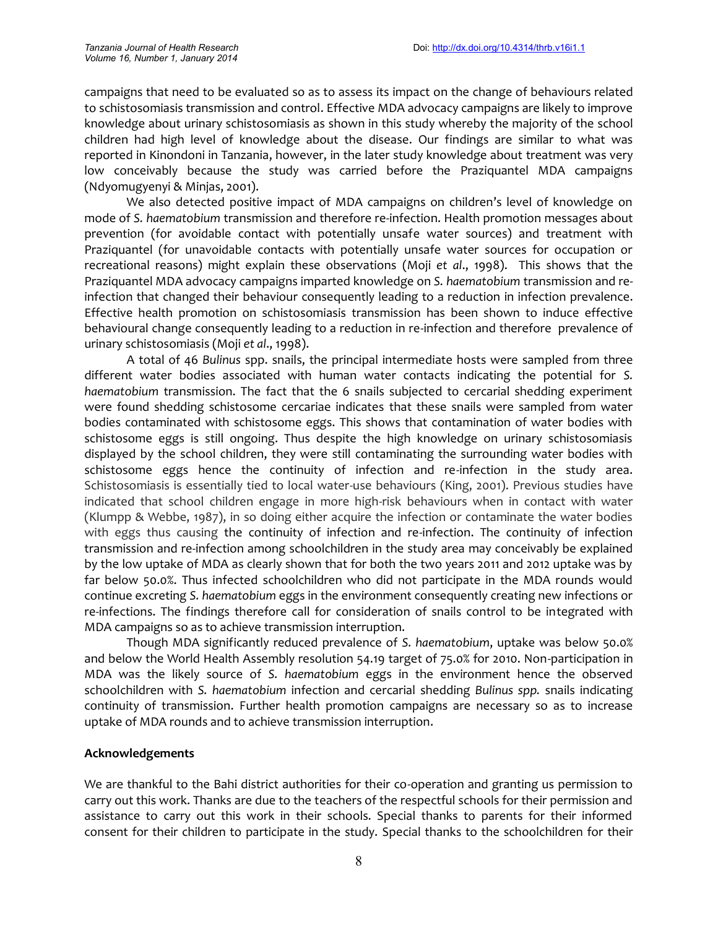campaigns that need to be evaluated so as to assess its impact on the change of behaviours related to schistosomiasis transmission and control. Effective MDA advocacy campaigns are likely to improve knowledge about urinary schistosomiasis as shown in this study whereby the majority of the school children had high level of knowledge about the disease. Our findings are similar to what was reported in Kinondoni in Tanzania, however, in the later study knowledge about treatment was very low conceivably because the study was carried before the Praziquantel MDA campaigns (Ndyomugyenyi & Minjas, 2001).

We also detected positive impact of MDA campaigns on children's level of knowledge on mode of *S. haematobium* transmission and therefore re-infection. Health promotion messages about prevention (for avoidable contact with potentially unsafe water sources) and treatment with Praziquantel (for unavoidable contacts with potentially unsafe water sources for occupation or recreational reasons) might explain these observations (Moji *et al*., 1998). This shows that the Praziquantel MDA advocacy campaigns imparted knowledge on *S. haematobium* transmission and reinfection that changed their behaviour consequently leading to a reduction in infection prevalence. Effective health promotion on schistosomiasis transmission has been shown to induce effective behavioural change consequently leading to a reduction in re-infection and therefore prevalence of urinary schistosomiasis (Moji *et al*., 1998).

A total of 46 *Bulinus* spp. snails, the principal intermediate hosts were sampled from three different water bodies associated with human water contacts indicating the potential for *S. haematobium* transmission. The fact that the 6 snails subjected to cercarial shedding experiment were found shedding schistosome cercariae indicates that these snails were sampled from water bodies contaminated with schistosome eggs. This shows that contamination of water bodies with schistosome eggs is still ongoing. Thus despite the high knowledge on urinary schistosomiasis displayed by the school children, they were still contaminating the surrounding water bodies with schistosome eggs hence the continuity of infection and re-infection in the study area. Schistosomiasis is essentially tied to local water-use behaviours (King, 2001). Previous studies have indicated that school children engage in more high-risk behaviours when in contact with water (Klumpp & Webbe, 1987), in so doing either acquire the infection or contaminate the water bodies with eggs thus causing the continuity of infection and re-infection. The continuity of infection transmission and re-infection among schoolchildren in the study area may conceivably be explained by the low uptake of MDA as clearly shown that for both the two years 2011 and 2012 uptake was by far below 50.0%. Thus infected schoolchildren who did not participate in the MDA rounds would continue excreting *S. haematobium* eggs in the environment consequently creating new infections or re-infections. The findings therefore call for consideration of snails control to be integrated with MDA campaigns so as to achieve transmission interruption.

Though MDA significantly reduced prevalence of *S. haematobium*, uptake was below 50.0% and below the World Health Assembly resolution 54.19 target of 75.0% for 2010. Non-participation in MDA was the likely source of *S. haematobium* eggs in the environment hence the observed schoolchildren with *S. haematobium* infection and cercarial shedding *Bulinus spp.* snails indicating continuity of transmission. Further health promotion campaigns are necessary so as to increase uptake of MDA rounds and to achieve transmission interruption.

### **Acknowledgements**

We are thankful to the Bahi district authorities for their co-operation and granting us permission to carry out this work. Thanks are due to the teachers of the respectful schools for their permission and assistance to carry out this work in their schools. Special thanks to parents for their informed consent for their children to participate in the study. Special thanks to the schoolchildren for their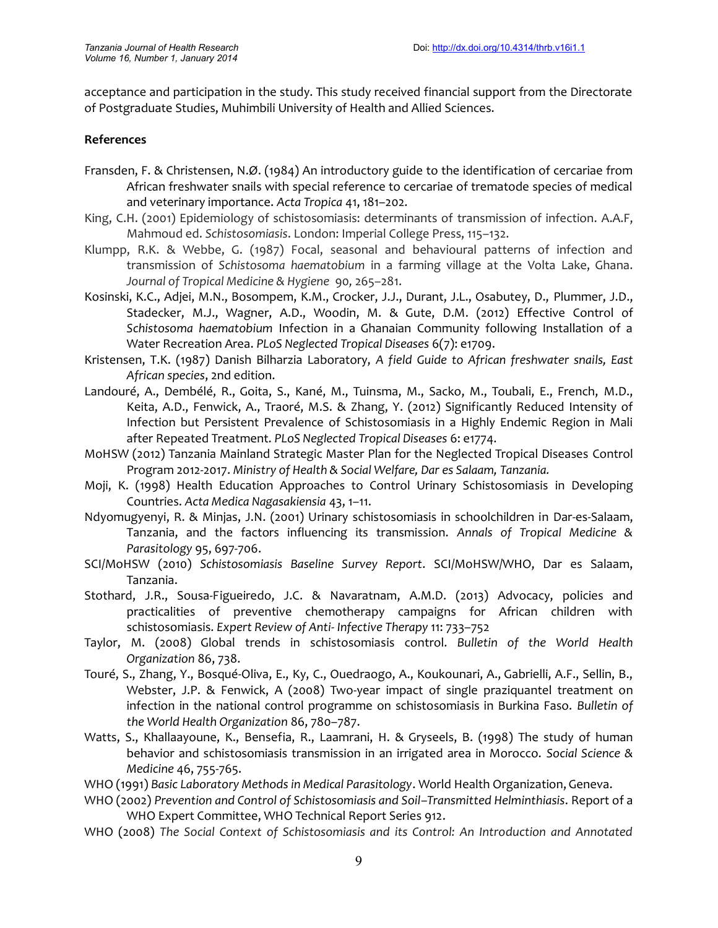acceptance and participation in the study. This study received financial support from the Directorate of Postgraduate Studies, Muhimbili University of Health and Allied Sciences.

#### **References**

- Fransden, F. & Christensen, N.Ø. (1984) An introductory guide to the identification of cercariae from African freshwater snails with special reference to cercariae of trematode species of medical and veterinary importance. *Acta Tropica* 41, 181–202.
- King, C.H. (2001) Epidemiology of schistosomiasis: determinants of transmission of infection. A.A.F, Mahmoud ed. *Schistosomiasis*. London: Imperial College Press, 115–132.
- Klumpp, R.K. & Webbe, G. (1987) Focal, seasonal and behavioural patterns of infection and transmission of *Schistosoma haematobium* in a farming village at the Volta Lake, Ghana. *Journal of Tropical Medicine & Hygiene* 90*,* 265–281.
- Kosinski, K.C., Adjei, M.N., Bosompem, K.M., Crocker, J.J., Durant, J.L., Osabutey, D., Plummer, J.D., Stadecker, M.J., Wagner, A.D., Woodin, M. & Gute, D.M. (2012) Effective Control of *Schistosoma haematobium* Infection in a Ghanaian Community following Installation of a Water Recreation Area. *PLoS Neglected Tropical Diseases* 6(7): e1709.
- Kristensen, T.K. (1987) Danish Bilharzia Laboratory, *A field Guide to African freshwater snails, East African species*, 2nd edition.
- Landouré, A., Dembélé, R., Goita, S., Kané, M., Tuinsma, M., Sacko, M., Toubali, E., French, M.D., Keita, A.D., Fenwick, A., Traoré, M.S. & Zhang, Y. (2012) Significantly Reduced Intensity of Infection but Persistent Prevalence of Schistosomiasis in a Highly Endemic Region in Mali after Repeated Treatment. *PLoS Neglected Tropical Diseases* 6:e1774.
- MoHSW (2012) Tanzania Mainland Strategic Master Plan for the Neglected Tropical Diseases Control Program 2012-2017. *Ministry of Health & Social Welfare, Dar es Salaam, Tanzania.*
- Moji, K. (1998) Health Education Approaches to Control Urinary Schistosomiasis in Developing Countries. *Acta Medica Nagasakiensia* 43, 1–11.
- Ndyomugyenyi, R. & Minjas, J.N. (2001) Urinary schistosomiasis in schoolchildren in Dar-es-Salaam, Tanzania, and the factors influencing its transmission. *Annals of Tropical Medicine & Parasitology* 95,697-706.
- SCI/MoHSW (2010) *Schistosomiasis Baseline Survey Report*. SCI/MoHSW/WHO, Dar es Salaam, Tanzania.
- Stothard, J.R., Sousa-Figueiredo, J.C. & Navaratnam, A.M.D. (2013) Advocacy, policies and practicalities of preventive chemotherapy campaigns for African children with schistosomiasis. *Expert Review of Anti- Infective Therapy* 11: 733–752
- Taylor, M. (2008) Global trends in schistosomiasis control. *Bulletin of the World Health Organization* 86, 738.
- Touré, S., Zhang, Y., Bosqué-Oliva, E., Ky, C., Ouedraogo, A., Koukounari, A., Gabrielli, A.F., Sellin, B., Webster, J.P. & Fenwick, A (2008) Two-year impact of single praziquantel treatment on infection in the national control programme on schistosomiasis in Burkina Faso. *Bulletin of the World Health Organization* 86, 780–787.
- Watts, S., Khallaayoune, K., Bensefia, R., Laamrani, H. & Gryseels, B. (1998) The study of human behavior and schistosomiasis transmission in an irrigated area in Morocco. *Social Science & Medicine* 46, 755-765.
- WHO (1991) *Basic Laboratory Methods in Medical Parasitology*. World Health Organization, Geneva.
- WHO (2002) *Prevention and Control of Schistosomiasis and Soil–Transmitted Helminthiasis*. Report of a WHO Expert Committee, WHO Technical Report Series 912.
- WHO (2008) *The Social Context of Schistosomiasis and its Control: An Introduction and Annotated*